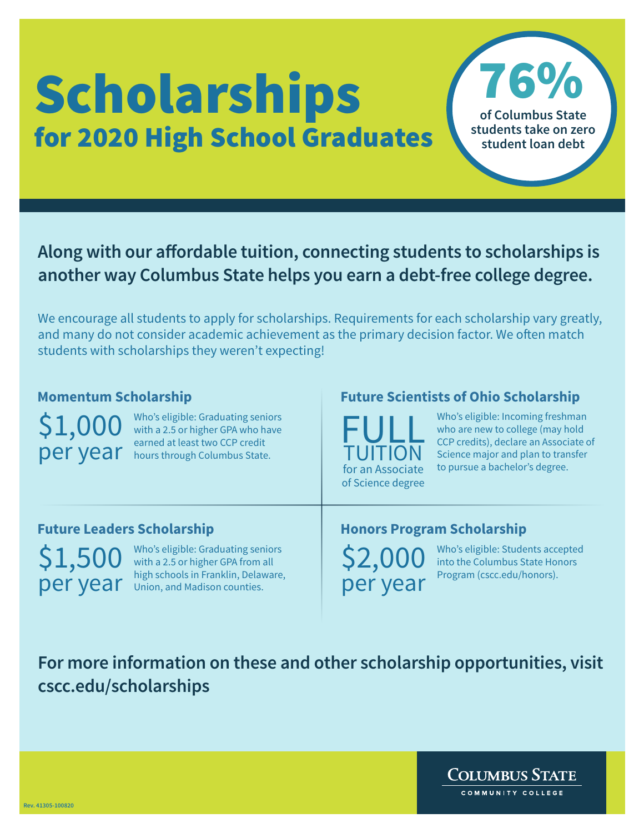## **Scholarships** for 2020 High School Graduates

76% **of Columbus State students take on zero student loan debt**

## **Along with our affordable tuition, connecting students to scholarships is another way Columbus State helps you earn a debt-free college degree.**

We encourage all students to apply for scholarships. Requirements for each scholarship vary greatly, and many do not consider academic achievement as the primary decision factor. We often match students with scholarships they weren't expecting!

\$1,000

per year earned at least two CCP credit Who's eligible: Graduating seniors with a 2.5 or higher GPA who have earned at least two CCP credit

### **Momentum Scholarship Future Scientists of Ohio Scholarship**

FULL TUITION for an Associate of Science degree

Who's eligible: Incoming freshman who are new to college (may hold CCP credits), declare an Associate of Science major and plan to transfer to pursue a bachelor's degree.

\$1,50 per year

Who's eligible: Graduating seniors with a 2.5 or higher GPA from all high schools in Franklin, Delaware, Union, and Madison counties.

#### **Future Leaders Scholarship Honors Program Scholarship**

\$2,000 per year Who's eligible: Students accepted into the Columbus State Honors Program (cscc.edu/honors).

**For more information on these and other scholarship opportunities, visit cscc.edu/scholarships**